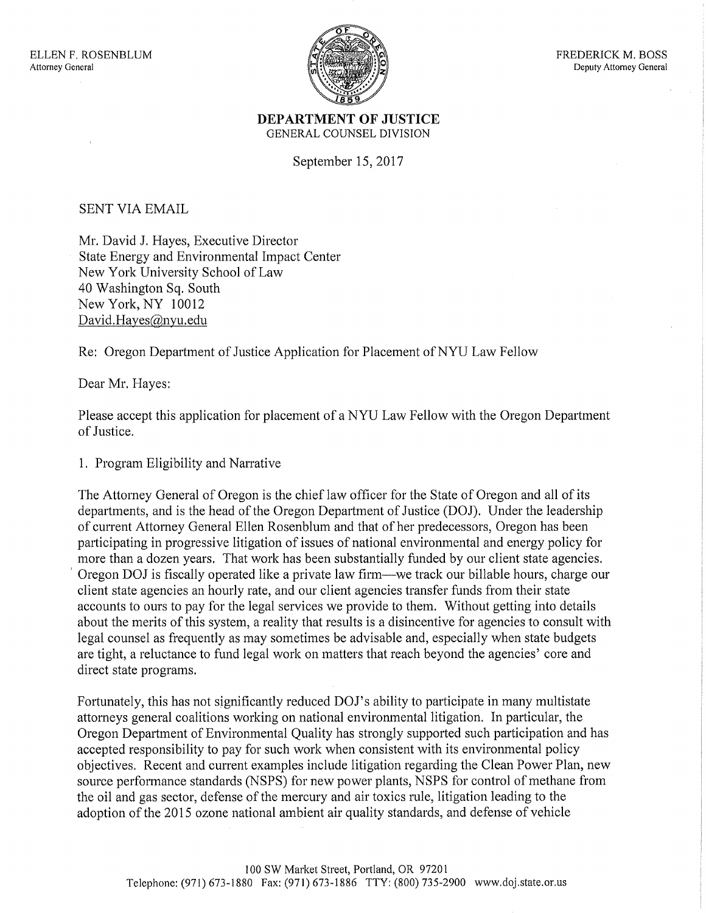

## **DEPARTMENT OF JUSTICE**  GENERAL COUNSEL DIVISION

September 15, 2017

SENT VIA EMAIL

Mr. David J. Hayes, Executive Director State Energy and Environmental Impact Center New York University School of Law 40 Washington Sq. South New York, NY 10012 David.Hayes@nyu.edu

Re: Oregon Department of Justice Application for Placement of NYU Law Fellow

Dear Mr. Hayes:

Please accept this application for placement of a NYU Law Fellow with the Oregon Department of Justice.

1. Program Eligibility and Narrative

The Attorney General of Oregon is the chief law officer for the State of Oregon and all of its departments, and is the head of the Oregon Department of Justice (DOJ). Under the leadership of current Attorney General Ellen Rosenblum and that of her predecessors, Oregon has been participating in progressive litigation of issues of national environmental and energy policy for more than a dozen years. That work has been substantially funded by our client state agencies. Oregon DOJ is fiscally operated like a private law firm—we track our billable hours, charge our client state agencies an hourly rate, and our client agencies transfer funds from their state accounts to ours to pay for the legal services we provide to them. Without getting into details about the merits of this system, a reality that results is a disincentive for agencies to consult with legal counsel as frequently as may sometimes be advisable and, especially when state budgets are tight, a reluctance to fund legal work on matters that reach beyond the agencies' core and direct state programs.

Fortunately, this has not significantly reduced DOJ's ability to participate in many multistate attorneys general coalitions working on national environmental litigation. In particular, the Oregon Department of Environmental Quality has strongly supported such participation and has accepted responsibility to pay for such work when consistent with its environmental policy objectives. Recent and current examples include litigation regarding the Clean Power Plan, new source performance standards (NSPS) for new power plants, NSPS for control of methane from the oil and gas sector, defense of the mercury and air toxics rule, litigation leading to the adoption of the 2015 ozone national ambient air quality standards, and defense of vehicle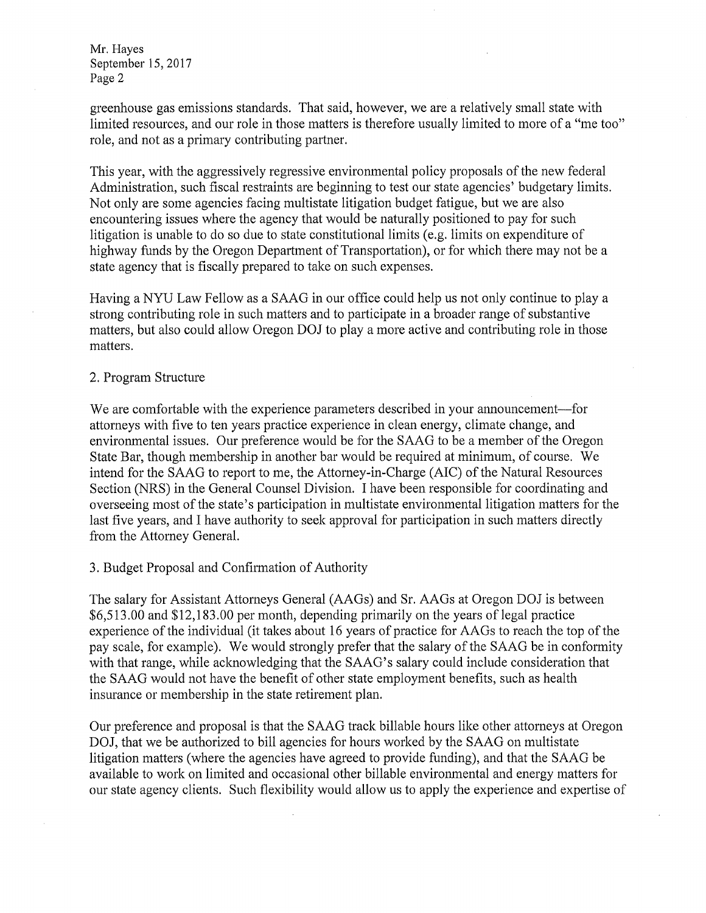Mr. Hayes September 15, 2017 Page 2

greenhouse gas emissions standards. That said, however, we are a relatively small state with limited resources, and our role in those matters is therefore usually limited to more of a "me too" role, and not as a primary contributing partner.

This year, with the aggressively regressive environmental policy proposals of the new federal Administration, such fiscal restraints are beginning to test our state agencies' budgetary limits. Not only are some agencies facing multistate litigation budget fatigue, but we are also encountering issues where the agency that would be naturally positioned to pay for such litigation is unable to do so due to state constitutional limits (e.g. limits on expenditure of highway funds by the Oregon Department of Transportation), or for which there may not be a state agency that is fiscally prepared to take on such expenses.

Having a NYU Law Fellow as a SAAG in our office could help us not only continue to play a strong contributing role in such matters and to participate in a broader range of substantive matters, but also could allow Oregon DOJ to play a more active and contributing role in those matters.

## 2. Program Structure

We are comfortable with the experience parameters described in your announcement--- for attorneys with five to ten years practice experience in clean energy, climate change, and environmental issues. Our preference would be for the SAAG to be a member of the Oregon State Bar, though membership in another bar would be required at minimum, of course. We intend for the SAAG to report to me, the Attorney-in-Charge (AIC) of the Natural Resources Section (NRS) in the General Counsel Division. I have been responsible for coordinating and overseeing most of the state's participation in multistate environmental litigation matters for the last five years, and I have authority to seek approval for participation in such matters directly from the Attorney General.

## 3. Budget Proposal and Confirmation of Authority

The salary for Assistant Attorneys General (AAGs) and Sr. AAGs at Oregon DOJ is between \$6,513.00 and \$12,183.00 per month, depending primarily on the years of legal practice experience of the individual (it takes about 16 years of practice for AA Gs to reach the top of the pay scale, for example). We would strongly prefer that the salary of the SAAG be in conformity with that range, while acknowledging that the SAAG's salary could include consideration that the SAAG would not have the benefit of other state employment benefits, such as health insurance or membership in the state retirement plan.

Our preference and proposal is that the SAAG track billable hours like other attorneys at Oregon DOJ, that we be authorized to bill agencies for hours worked by the SAAG on multistate litigation matters (where the agencies have agreed to provide funding), and that the SAAG be available to work on limited and occasional other billable environmental and energy matters for our state agency clients. Such flexibility would allow us to apply the experience and expetiise of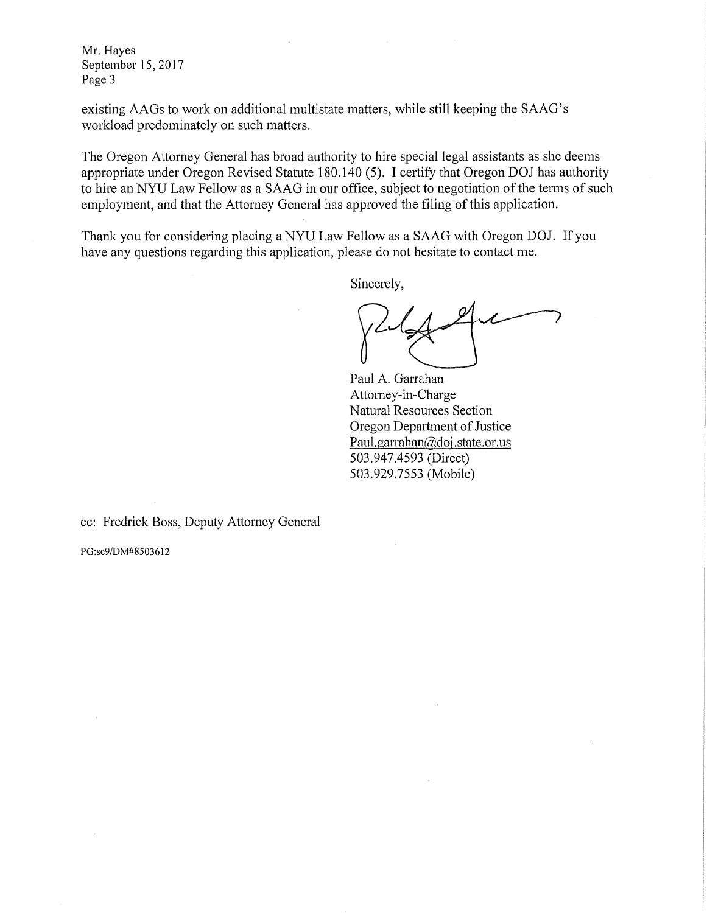**Mr.** Hayes September 15, 2017 Page 3

existing AAGs to work on additional multistate matters, while still keeping the SAAG's workload predominately on such matters.

The Oregon Attorney General has broad authority to hire special legal assistants as she deems appropriate under Oregon Revised Statute 180.140 (5). I certify that Oregon DOJ has authority to hire an NYU Law Fellow as a SAAG in our office, subject to negotiation of the terms of such employment, and that the Attorney General has approved the filing of this application.

Thank you for considering placing a NYU Law Fellow as a SAAG with Oregon DOJ. If you have any questions regarding this application, please do not hesitate to contact me.

Sincerely,

Paul A. Garrahan Attorney-in-Charge Natural Resources Section Oregon Department of Justice Paul.garrahan@doj.state.or.us 503.947.4593 (Direct) 503.929.7553 (Mobile)

cc: Fredrick Boss, Deputy Attorney General

PG:sc9/DM#8503612